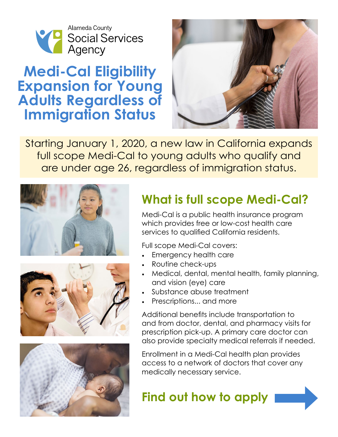

## **Medi-Cal Eligibility Expansion for Young Adults Regardless of Immigration Status**



Starting January 1, 2020, a new law in California expands full scope Medi-Cal to young adults who qualify and are under age 26, regardless of immigration status.







# **What is full scope Medi-Cal?**

Medi-Cal is a public health insurance program which provides free or low-cost health care services to qualified California residents.

Full scope Medi-Cal covers:

- Emergency health care
- Routine check-ups
- Medical, dental, mental health, family planning, and vision (eye) care
- Substance abuse treatment
- Prescriptions... and more

Additional benefits include transportation to and from doctor, dental, and pharmacy visits for prescription pick-up. A primary care doctor can also provide specialty medical referrals if needed.

Enrollment in a Medi-Cal health plan provides access to a network of doctors that cover any medically necessary service.

**Find out how to apply**